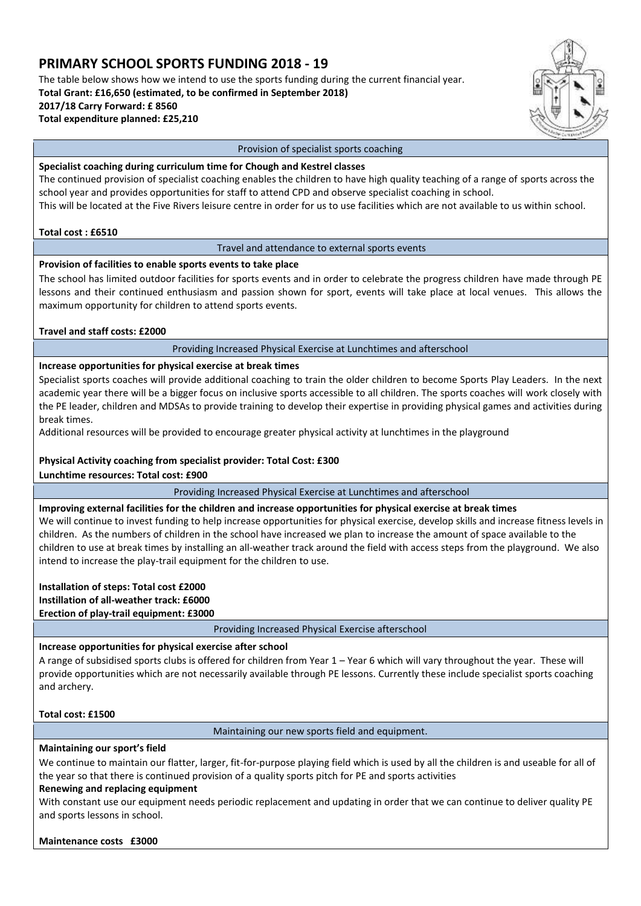# **PRIMARY SCHOOL SPORTS FUNDING 2018 - 19**

The table below shows how we intend to use the sports funding during the current financial year. **Total Grant: £16,650 (estimated, to be confirmed in September 2018) 2017/18 Carry Forward: £ 8560 Total expenditure planned: £25,210**



#### Provision of specialist sports coaching

#### **Specialist coaching during curriculum time for Chough and Kestrel classes**

The continued provision of specialist coaching enables the children to have high quality teaching of a range of sports across the school year and provides opportunities for staff to attend CPD and observe specialist coaching in school.

This will be located at the Five Rivers leisure centre in order for us to use facilities which are not available to us within school.

#### **Total cost : £6510**

#### Travel and attendance to external sports events

## **Provision of facilities to enable sports events to take place**

The school has limited outdoor facilities for sports events and in order to celebrate the progress children have made through PE lessons and their continued enthusiasm and passion shown for sport, events will take place at local venues. This allows the maximum opportunity for children to attend sports events.

#### **Travel and staff costs: £2000**

## Providing Increased Physical Exercise at Lunchtimes and afterschool

## **Increase opportunities for physical exercise at break times**

Specialist sports coaches will provide additional coaching to train the older children to become Sports Play Leaders. In the next academic year there will be a bigger focus on inclusive sports accessible to all children. The sports coaches will work closely with the PE leader, children and MDSAs to provide training to develop their expertise in providing physical games and activities during break times.

Additional resources will be provided to encourage greater physical activity at lunchtimes in the playground

## **Physical Activity coaching from specialist provider: Total Cost: £300**

**Lunchtime resources: Total cost: £900**

Providing Increased Physical Exercise at Lunchtimes and afterschool

## **Improving external facilities for the children and increase opportunities for physical exercise at break times**

We will continue to invest funding to help increase opportunities for physical exercise, develop skills and increase fitness levels in children. As the numbers of children in the school have increased we plan to increase the amount of space available to the children to use at break times by installing an all-weather track around the field with access steps from the playground. We also intend to increase the play-trail equipment for the children to use.

## **Installation of steps: Total cost £2000 Instillation of all-weather track: £6000 Erection of play-trail equipment: £3000**

Providing Increased Physical Exercise afterschool

## **Increase opportunities for physical exercise after school**

A range of subsidised sports clubs is offered for children from Year 1 – Year 6 which will vary throughout the year. These will provide opportunities which are not necessarily available through PE lessons. Currently these include specialist sports coaching and archery.

## **Total cost: £1500**

Maintaining our new sports field and equipment.

## **Maintaining our sport's field**

We continue to maintain our flatter, larger, fit-for-purpose playing field which is used by all the children is and useable for all of the year so that there is continued provision of a quality sports pitch for PE and sports activities

#### **Renewing and replacing equipment**

With constant use our equipment needs periodic replacement and updating in order that we can continue to deliver quality PE and sports lessons in school.

**Maintenance costs £3000**